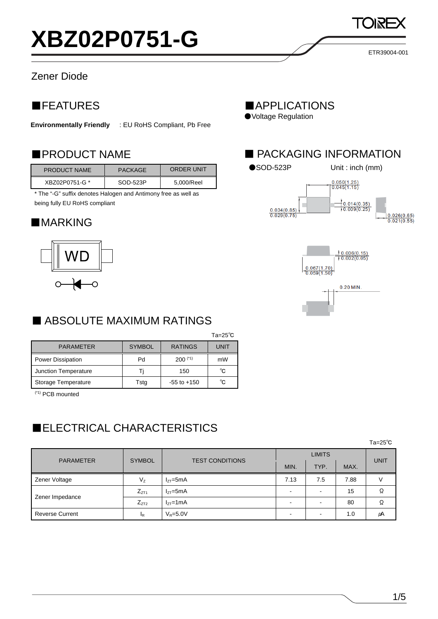### Zener Diode

## ■FEATURES

**Environmentally Friendly** : EU RoHS Compliant, Pb Free

| <b>PRODUCT NAME</b> | <b>PACKAGE</b> | <b>ORDER UNIT</b> |
|---------------------|----------------|-------------------|
| XBZ02P0751-G *      | SOD-523P       | 5.000/Reel        |

\* The "-G" suffix denotes Halogen and Antimony free as well as being fully EU RoHS compliant

#### ■**MARKING**



## ■ ABSOLUTE MAXIMUM RATINGS

|                          |               |                 | $Ta=25^\circ C$ |
|--------------------------|---------------|-----------------|-----------------|
| <b>PARAMETER</b>         | <b>SYMBOL</b> | <b>RATINGS</b>  | UNIT            |
| <b>Power Dissipation</b> | Pd            | $200$ $(1)$     | mW              |
| Junction Temperature     | ш             | 150             | °C              |
| Storage Temperature      | Tstg          | $-55$ to $+150$ | °C              |

(\*1) PCB mounted

## ■ELECTRICAL CHARACTERISTICS

 $\tau = 25^{\circ}$ С $\tau = 25^{\circ}$ С $\tau = 25^{\circ}$ С

| <b>PARAMETER</b>       | <b>SYMBOL</b>  | <b>TEST CONDITIONS</b> | <b>LIMITS</b>            |                |      |             |
|------------------------|----------------|------------------------|--------------------------|----------------|------|-------------|
|                        |                |                        | MIN.                     | TYP.           | MAX. | <b>UNIT</b> |
| Zener Voltage          | $V_{Z}$        | $I_{ZT}$ =5mA          | 7.13                     | 7.5            | 7.88 |             |
|                        | $Z_{ZT1}$      | $I_{7T}$ =5mA          | $\overline{\phantom{0}}$ | $\blacksquare$ | 15   |             |
| Zener Impedance        | $Z_{ZT2}$      | $I_{7T}$ =1mA          | $\overline{\phantom{0}}$ | $\blacksquare$ | 80   |             |
| <b>Reverse Current</b> | <sup>I</sup> R | $V_R = 5.0V$           | $\overline{\phantom{0}}$ | -              | 1.0  | μA          |

■APPLICATIONS

●Voltage Regulation

## ■PRODUCT NAME ■ PACKAGING INFORMATION



ETR39004-001

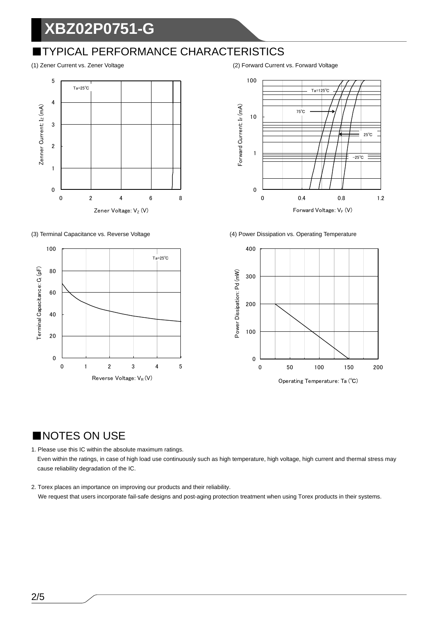## **XBZ02P0751-G**

## ■TYPICAL PERFORMANCE CHARACTERISTICS





(1) Zener Current vs. Zener Voltage (2) Forward Current vs. Forward Voltage



(3) Terminal Capacitance vs. Reverse Voltage (4) Power Dissipation vs. Operating Temperature



### ■NOTES ON USE

1. Please use this IC within the absolute maximum ratings. Even within the ratings, in case of high load use continuously such as high temperature, high voltage, high current and thermal stress may cause reliability degradation of the IC.

2. Torex places an importance on improving our products and their reliability. We request that users incorporate fail-safe designs and post-aging protection treatment when using Torex products in their systems.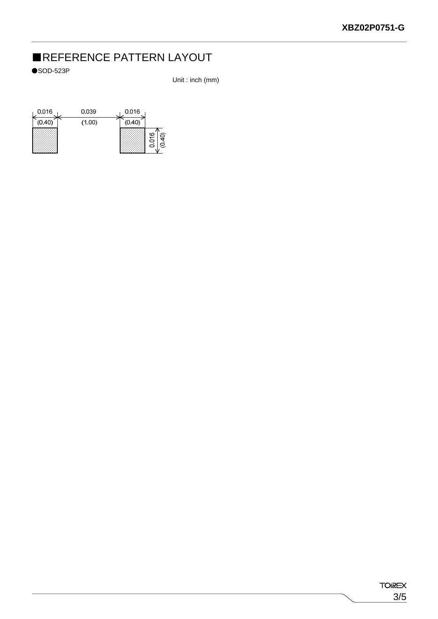## ■REFERENCE PATTERN LAYOUT

 $\bullet$ SOD-523P

Unit : inch (mm)

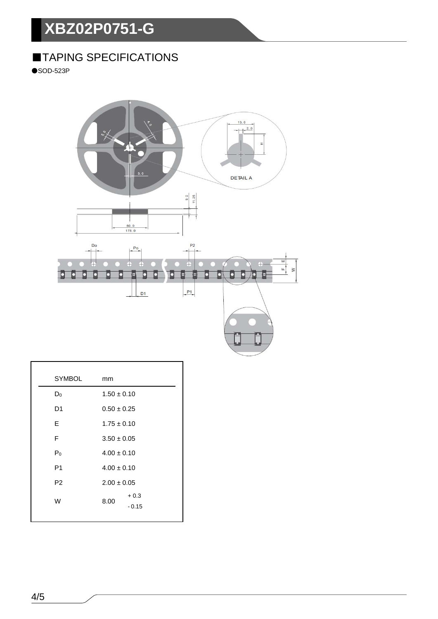# **XBZ02P0751-G**

## ■TAPING SPECIFICATIONS

 $\bullet$ SOD-523P



| <b>SYMBOL</b>  | mm              |
|----------------|-----------------|
| $D_0$          | $1.50 \pm 0.10$ |
| D <sub>1</sub> | $0.50 \pm 0.25$ |
| E              | $1.75 \pm 0.10$ |
| F              | $3.50 \pm 0.05$ |
| P <sub>0</sub> | $4.00 \pm 0.10$ |
| P <sub>1</sub> | $4.00 \pm 0.10$ |
| P <sub>2</sub> | $2.00 \pm 0.05$ |
| W              | $+0.3$<br>8.00  |
|                | $-0.15$         |